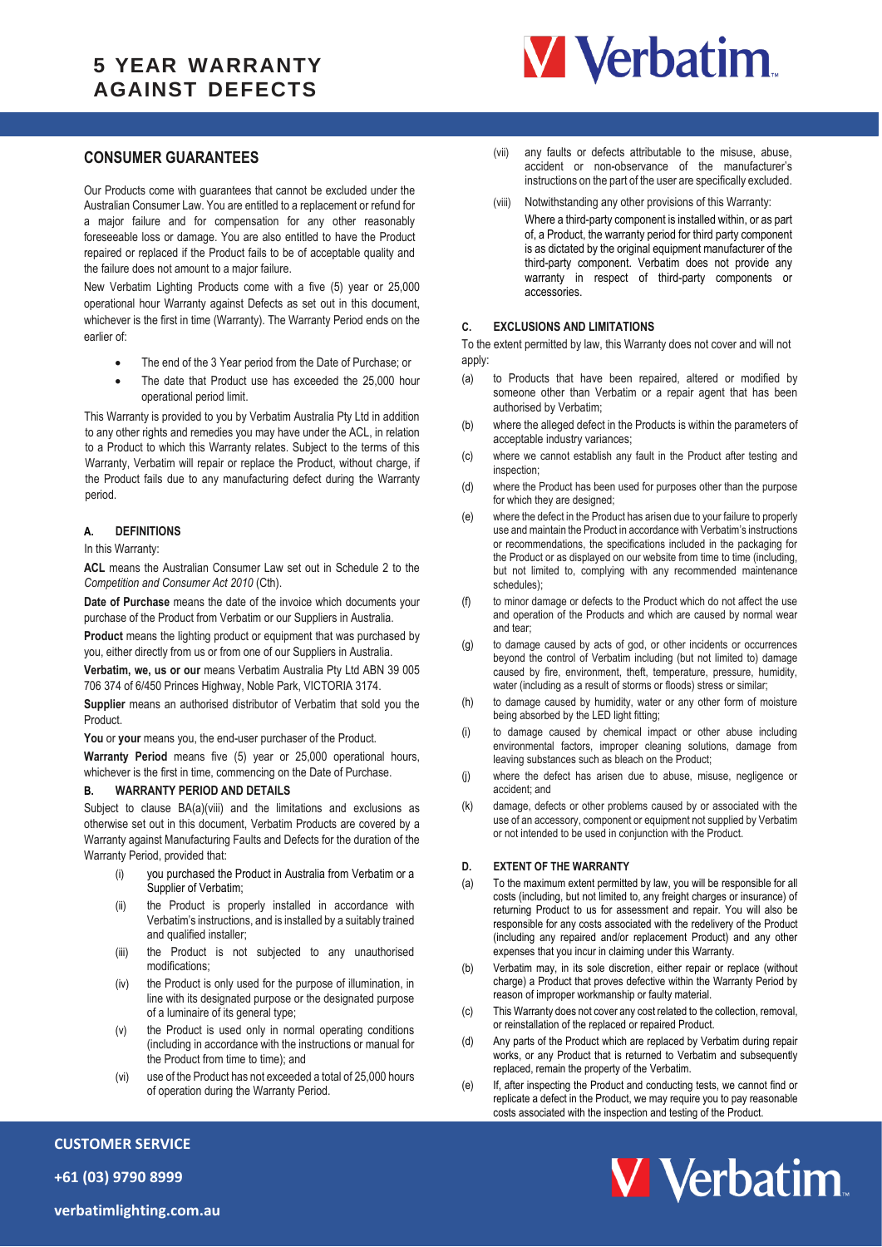# **5 YEAR WARRANTY AGAINST DEFECTS**



## **CONSUMER GUARANTEES**

Our Products come with guarantees that cannot be excluded under the Australian Consumer Law. You are entitled to a replacement or refund for a major failure and for compensation for any other reasonably foreseeable loss or damage. You are also entitled to have the Product repaired or replaced if the Product fails to be of acceptable quality and the failure does not amount to a major failure.

New Verbatim Lighting Products come with a five (5) year or 25,000 operational hour Warranty against Defects as set out in this document, whichever is the first in time (Warranty). The Warranty Period ends on the earlier of:

- The end of the 3 Year period from the Date of Purchase; or
- The date that Product use has exceeded the 25,000 hour operational period limit.

This Warranty is provided to you by Verbatim Australia Pty Ltd in addition to any other rights and remedies you may have under the ACL, in relation to a Product to which this Warranty relates. Subject to the terms of this Warranty, Verbatim will repair or replace the Product, without charge, if the Product fails due to any manufacturing defect during the Warranty period.

#### **A. DEFINITIONS**

In this Warranty:

**ACL** means the Australian Consumer Law set out in Schedule 2 to the *Competition and Consumer Act 2010* (Cth).

**Date of Purchase** means the date of the invoice which documents your purchase of the Product from Verbatim or our Suppliers in Australia.

**Product** means the lighting product or equipment that was purchased by you, either directly from us or from one of our Suppliers in Australia.

**Verbatim, we, us or our** means Verbatim Australia Pty Ltd ABN 39 005 706 374 of 6/450 Princes Highway, Noble Park, VICTORIA 3174.

**Supplier** means an authorised distributor of Verbatim that sold you the Product.

You or your means you, the end-user purchaser of the Product.

**Warranty Period** means five (5) year or 25,000 operational hours, whichever is the first in time, commencing on the Date of Purchase.

#### <span id="page-0-0"></span>**B. WARRANTY PERIOD AND DETAILS**

Subject to clause [BA\(a\)\(viii\)](#page-0-0) and the limitations and exclusions as otherwise set out in this document, Verbatim Products are covered by a Warranty against Manufacturing Faults and Defects for the duration of the Warranty Period, provided that:

- (i) you purchased the Product in Australia from Verbatim or a Supplier of Verbatim;
- (ii) the Product is properly installed in accordance with Verbatim's instructions, and is installed by a suitably trained and qualified installer;
- (iii) the Product is not subjected to any unauthorised modifications;
- (iv) the Product is only used for the purpose of illumination, in line with its designated purpose or the designated purpose of a luminaire of its general type;
- (v) the Product is used only in normal operating conditions (including in accordance with the instructions or manual for the Product from time to time); and
- (vi) use of the Product has not exceeded a total of 25,000 hours of operation during the Warranty Period.
- (vii) any faults or defects attributable to the misuse, abuse, accident or non-observance of the manufacturer's instructions on the part of the user are specifically excluded.
- (viii) Notwithstanding any other provisions of this Warranty:
- Where a third-party component is installed within, or as part of, a Product, the warranty period for third party component is as dictated by the original equipment manufacturer of the third-party component. Verbatim does not provide any warranty in respect of third-party components or accessories.

#### **C. EXCLUSIONS AND LIMITATIONS**

To the extent permitted by law, this Warranty does not cover and will not apply:

- (a) to Products that have been repaired, altered or modified by someone other than Verbatim or a repair agent that has been authorised by Verbatim;
- (b) where the alleged defect in the Products is within the parameters of acceptable industry variances;
- (c) where we cannot establish any fault in the Product after testing and inspection;
- (d) where the Product has been used for purposes other than the purpose for which they are designed;
- (e) where the defect in the Product has arisen due to your failure to properly use and maintain the Product in accordance with Verbatim's instructions or recommendations, the specifications included in the packaging for the Product or as displayed on our website from time to time (including, but not limited to, complying with any recommended maintenance schedules);
- (f) to minor damage or defects to the Product which do not affect the use and operation of the Products and which are caused by normal wear and tear;
- (g) to damage caused by acts of god, or other incidents or occurrences beyond the control of Verbatim including (but not limited to) damage caused by fire, environment, theft, temperature, pressure, humidity, water (including as a result of storms or floods) stress or similar;
- (h) to damage caused by humidity, water or any other form of moisture being absorbed by the LED light fitting;
- (i) to damage caused by chemical impact or other abuse including environmental factors, improper cleaning solutions, damage from leaving substances such as bleach on the Product;
- (j) where the defect has arisen due to abuse, misuse, negligence or accident; and
- (k) damage, defects or other problems caused by or associated with the use of an accessory, component or equipment not supplied by Verbatim or not intended to be used in conjunction with the Product.

### **D. EXTENT OF THE WARRANTY**

- (a) To the maximum extent permitted by law, you will be responsible for all costs (including, but not limited to, any freight charges or insurance) of returning Product to us for assessment and repair. You will also be responsible for any costs associated with the redelivery of the Product (including any repaired and/or replacement Product) and any other expenses that you incur in claiming under this Warranty.
- (b) Verbatim may, in its sole discretion, either repair or replace (without charge) a Product that proves defective within the Warranty Period by reason of improper workmanship or faulty material.
- (c) This Warranty does not cover any cost related to the collection, removal, or reinstallation of the replaced or repaired Product.
- (d) Any parts of the Product which are replaced by Verbatim during repair works, or any Product that is returned to Verbatim and subsequently replaced, remain the property of the Verbatim.
- (e) If, after inspecting the Product and conducting tests, we cannot find or replicate a defect in the Product, we may require you to pay reasonable costs associated with the inspection and testing of the Product.



**+61 (03) 9790 8999**

**CUSTOMER SERVICE**